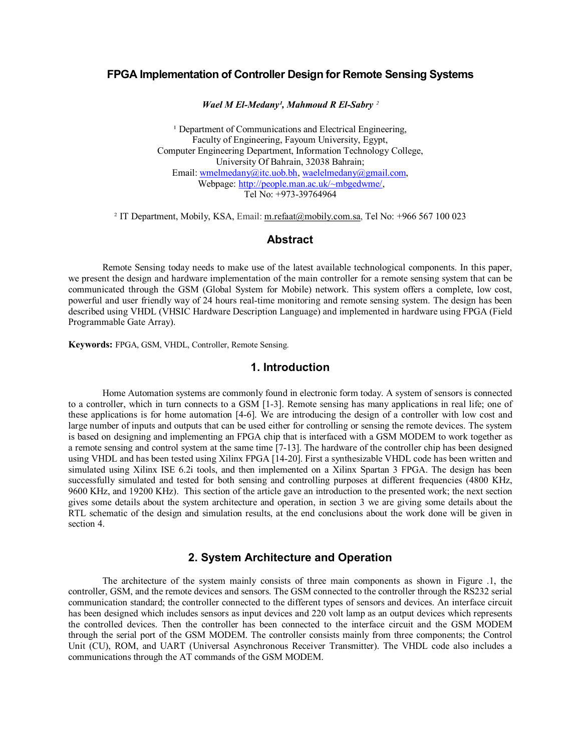# **FPGA Implementation of Controller Design for Remote Sensing Systems**

*Wael M El-Medany<sup>1</sup>, Mahmoud R El-Sabry*<sup>2</sup>

<sup>1</sup> Department of Communications and Electrical Engineering, Faculty of Engineering, Fayoum University, Egypt, Computer Engineering Department, Information Technology College, University Of Bahrain, 32038 Bahrain; Email: wmelmedany@itc.uob.bh, waelelmedany@gmail.com, Webpage: http://people.man.ac.uk/~mbgedwme/, Tel No: +973-39764964

<sup>2</sup> IT Department, Mobily, KSA, Email: m.refaat@mobily.com.sa, Tel No: +966 567 100 023

#### **Abstract**

Remote Sensing today needs to make use of the latest available technological components. In this paper, we present the design and hardware implementation of the main controller for a remote sensing system that can be communicated through the GSM (Global System for Mobile) network. This system offers a complete, low cost, powerful and user friendly way of 24 hours real-time monitoring and remote sensing system. The design has been described using VHDL (VHSIC Hardware Description Language) and implemented in hardware using FPGA (Field Programmable Gate Array).

**Keywords:** FPGA, GSM, VHDL, Controller, Remote Sensing.

## **1. Introduction**

Home Automation systems are commonly found in electronic form today. A system of sensors is connected to a controller, which in turn connects to a GSM [1-3]. Remote sensing has many applications in real life; one of these applications is for home automation [46]. We are introducing the design of a controller with low cost and large number of inputs and outputs that can be used either for controlling or sensing the remote devices. The system is based on designing and implementing an FPGA chip that is interfaced with a GSM MODEM to work together as a remote sensing and control system at the same time [7-13]. The hardware of the controller chip has been designed using VHDL and has been tested using Xilinx FPGA [1420]. First a synthesizable VHDL code has been written and simulated using Xilinx ISE 6.2i tools, and then implemented on a Xilinx Spartan 3 FPGA. The design has been successfully simulated and tested for both sensing and controlling purposes at different frequencies (4800 KHz, 9600 KHz, and 19200 KHz). This section of the article gave an introduction to the presented work; the next section gives some details about the system architecture and operation, in section 3 we are giving some details about the RTL schematic of the design and simulation results, at the end conclusions about the work done will be given in section 4.

## **2. System Architecture and Operation**

The architecture of the system mainly consists of three main components as shown in Figure .1, the controller, GSM, and the remote devices and sensors. The GSM connected to the controller through the RS232 serial communication standard; the controller connected to the different types of sensors and devices. An interface circuit has been designed which includes sensors as input devices and 220 volt lamp as an output devices which represents the controlled devices. Then the controller has been connected to the interface circuit and the GSM MODEM through the serial port of the GSM MODEM. The controller consists mainly from three components; the Control Unit (CU), ROM, and UART (Universal Asynchronous Receiver Transmitter). The VHDL code also includes a communications through the AT commands of the GSM MODEM.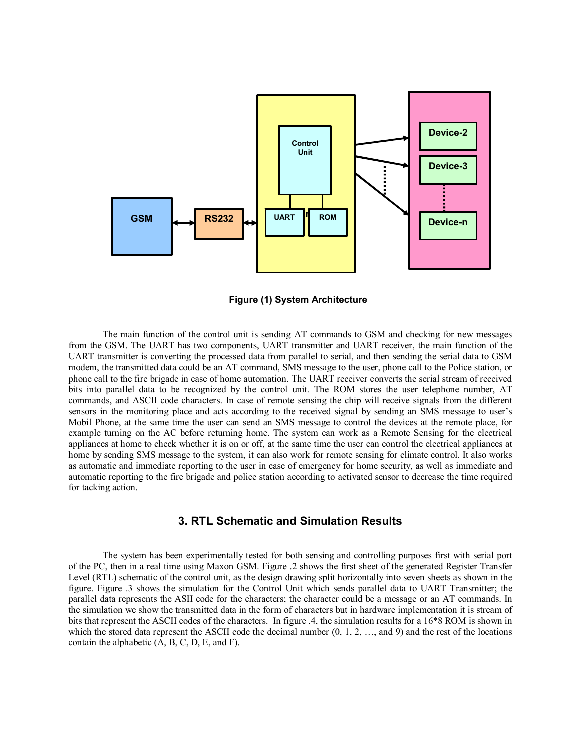

**Figure (1) System Architecture**

The main function of the control unit is sending AT commands to GSM and checking for new messages from the GSM. The UART has two components, UART transmitter and UART receiver, the main function of the UART transmitter is converting the processed data from parallel to serial, and then sending the serial data to GSM modem, the transmitted data could be an AT command, SMS message to the user, phone call to the Police station, or phone call to the fire brigade in case of home automation. The UART receiver converts the serial stream of received bits into parallel data to be recognized by the control unit. The ROM stores the user telephone number, AT commands, and ASCII code characters. In case of remote sensing the chip will receive signals from the different sensors in the monitoring place and acts according to the received signal by sending an SMS message to user's Mobil Phone, at the same time the user can send an SMS message to control the devices at the remote place, for example turning on the AC before returning home. The system can work as a Remote Sensing for the electrical appliances at home to check whether it is on or off, at the same time the user can control the electrical appliances at home by sending SMS message to the system, it can also work for remote sensing for climate control. It also works as automatic and immediate reporting to the user in case of emergency for home security, as well as immediate and automatic reporting to the fire brigade and police station according to activated sensor to decrease the time required for tacking action.

## **3. RTL Schematic and Simulation Results**

The system has been experimentally tested for both sensing and controlling purposes first with serial port of the PC, then in a real time using Maxon GSM. Figure .2 shows the first sheet of the generated Register Transfer Level (RTL) schematic of the control unit, as the design drawing split horizontally into seven sheets as shown in the figure. Figure .3 shows the simulation for the Control Unit which sends parallel data to UART Transmitter; the parallel data represents the ASII code for the characters; the character could be a message or an AT commands. In the simulation we show the transmitted data in the form of characters but in hardware implementation it is stream of bits that represent the ASCII codes of the characters. In figure .4, the simulation results for a 16\*8 ROM is shown in which the stored data represent the ASCII code the decimal number  $(0, 1, 2, \ldots,$  and 9) and the rest of the locations contain the alphabetic  $(A, B, C, D, E, and F)$ .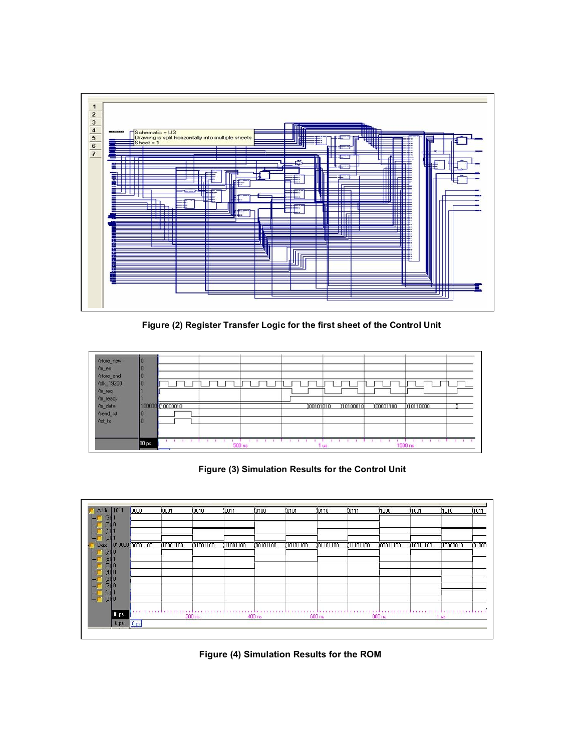

**Figure (2) Register Transfer Logic for the first sheet of the Control Unit** 



**Figure (3) Simulation Results for the Control Unit** 



**Figure (4) Simulation Results for the ROM**